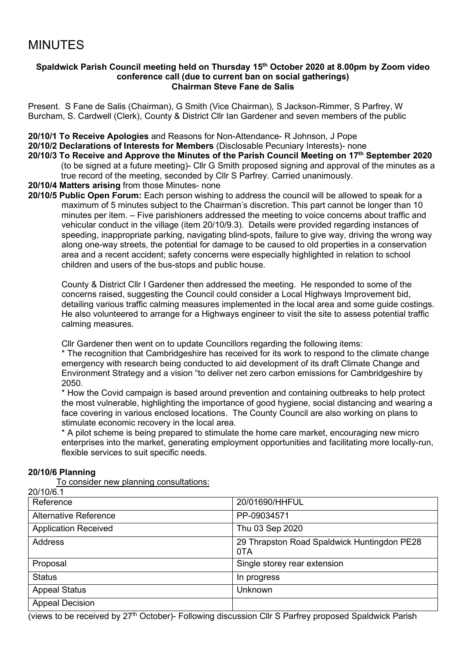# MINUTES

#### **Spaldwick Parish Council meeting held on Thursday 15th October 2020 at 8.00pm by Zoom video conference call (due to current ban on social gatherings) Chairman Steve Fane de Salis**

Present. S Fane de Salis (Chairman), G Smith (Vice Chairman), S Jackson-Rimmer, S Parfrey, W Burcham, S. Cardwell (Clerk), County & District Cllr Ian Gardener and seven members of the public

**20/10/1 To Receive Apologies** and Reasons for Non-Attendance- R Johnson, J Pope

**20/10/2 Declarations of Interests for Members** (Disclosable Pecuniary Interests)- none

**20/10/3 To Receive and Approve the Minutes of the Parish Council Meeting on 17 th September 2020** (to be signed at a future meeting)- Cllr G Smith proposed signing and approval of the minutes as a

true record of the meeting, seconded by Cllr S Parfrey. Carried unanimously.

**20/10/4 Matters arising** from those Minutes- none

**20/10/5 Public Open Forum:** Each person wishing to address the council will be allowed to speak for a maximum of 5 minutes subject to the Chairman's discretion. This part cannot be longer than 10 minutes per item. – Five parishioners addressed the meeting to voice concerns about traffic and vehicular conduct in the village (item 20/10/9.3). Details were provided regarding instances of speeding, inappropriate parking, navigating blind-spots, failure to give way, driving the wrong way along one-way streets, the potential for damage to be caused to old properties in a conservation area and a recent accident; safety concerns were especially highlighted in relation to school children and users of the bus-stops and public house.

County & District Cllr I Gardener then addressed the meeting. He responded to some of the concerns raised, suggesting the Council could consider a Local Highways Improvement bid, detailing various traffic calming measures implemented in the local area and some guide costings. He also volunteered to arrange for a Highways engineer to visit the site to assess potential traffic calming measures.

Cllr Gardener then went on to update Councillors regarding the following items:

\* The recognition that Cambridgeshire has received for its work to respond to the climate change emergency with research being conducted to aid development of its draft Climate Change and Environment Strategy and a vision "to deliver net zero carbon emissions for Cambridgeshire by 2050.

\* How the Covid campaign is based around prevention and containing outbreaks to help protect the most vulnerable, highlighting the importance of good hygiene, social distancing and wearing a face covering in various enclosed locations. The County Council are also working on plans to stimulate economic recovery in the local area.

\* A pilot scheme is being prepared to stimulate the home care market, encouraging new micro enterprises into the market, generating employment opportunities and facilitating more locally-run, flexible services to suit specific needs.

## **20/10/6 Planning**

To consider new planning consultations:

| Reference<br>20/01690/HHFUL<br>Alternative Reference<br>PP-09034571<br><b>Application Received</b><br>Thu 03 Sep 2020<br><b>Address</b><br>29 Thrapston Road Spaldwick Huntingdon PE28<br>0TA<br>Single storey rear extension<br>Proposal<br><b>Status</b><br>In progress<br><b>Appeal Status</b><br><b>Unknown</b><br><b>Appeal Decision</b> | 20/10/6.1 |  |
|-----------------------------------------------------------------------------------------------------------------------------------------------------------------------------------------------------------------------------------------------------------------------------------------------------------------------------------------------|-----------|--|
|                                                                                                                                                                                                                                                                                                                                               |           |  |
|                                                                                                                                                                                                                                                                                                                                               |           |  |
|                                                                                                                                                                                                                                                                                                                                               |           |  |
|                                                                                                                                                                                                                                                                                                                                               |           |  |
|                                                                                                                                                                                                                                                                                                                                               |           |  |
|                                                                                                                                                                                                                                                                                                                                               |           |  |
|                                                                                                                                                                                                                                                                                                                                               |           |  |
|                                                                                                                                                                                                                                                                                                                                               |           |  |

(views to be received by 27th October)- Following discussion Cllr S Parfrey proposed Spaldwick Parish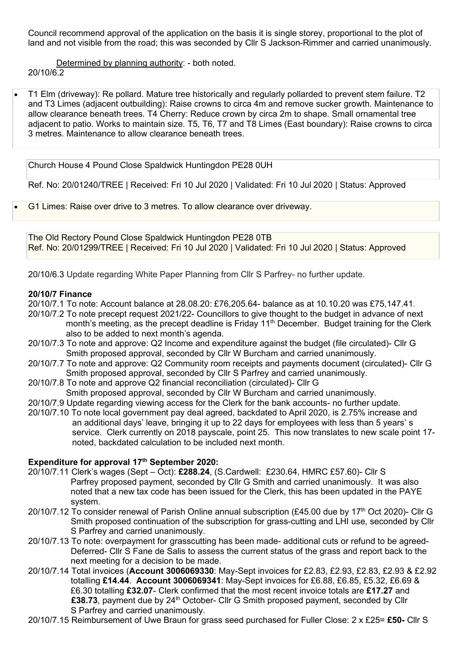Council recommend approval of the application on the basis it is single storey, proportional to the plot of land and not visible from the road; this was seconded by Cllr S Jackson-Rimmer and carried unanimously.

Determined by planning authority: - both noted. 20/10/6.2

• [T1 Elm \(driveway\): Re pollard. Mature tree historically and regularly pollarded to prevent stem failure. T2](https://publicaccess.huntingdonshire.gov.uk/online-applications/applicationDetails.do?keyVal=QD95IYIKM0R00&activeTab=summary)  [and T3 Limes \(adjacent outbuilding\): Raise crowns to circa 4m and remove sucker growth. Maintenance to](https://publicaccess.huntingdonshire.gov.uk/online-applications/applicationDetails.do?keyVal=QD95IYIKM0R00&activeTab=summary)  [allow clearance beneath trees. T4 Cherry: Reduce crown by circa 2m to shape. Small ornamental tree](https://publicaccess.huntingdonshire.gov.uk/online-applications/applicationDetails.do?keyVal=QD95IYIKM0R00&activeTab=summary)  [adjacent to patio. Works to maintain size. T5, T6, T7 and T8 Limes \(East boundary\): Raise crowns to circa](https://publicaccess.huntingdonshire.gov.uk/online-applications/applicationDetails.do?keyVal=QD95IYIKM0R00&activeTab=summary)  [3 metres. Maintenance to allow clearance beneath trees.](https://publicaccess.huntingdonshire.gov.uk/online-applications/applicationDetails.do?keyVal=QD95IYIKM0R00&activeTab=summary)

Church House 4 Pound Close Spaldwick Huntingdon PE28 0UH

Ref. No: 20/01240/TREE | Received: Fri 10 Jul 2020 | Validated: Fri 10 Jul 2020 | Status: Approved

• [G1 Limes: Raise over drive to 3 metres. To allow clearance over driveway.](https://publicaccess.huntingdonshire.gov.uk/online-applications/applicationDetails.do?keyVal=QDIIMNIK0DP00&activeTab=summary)

The Old Rectory Pound Close Spaldwick Huntingdon PE28 0TB Ref. No: 20/01299/TREE | Received: Fri 10 Jul 2020 | Validated: Fri 10 Jul 2020 | Status: Approved

20/10/6.3 Update regarding White Paper Planning from Cllr S Parfrey- no further update.

#### **20/10/7 Finance**

20/10/7.1 To note: Account balance at 28.08.20: £76,205.64- balance as at 10.10.20 was £75,147.41.

- 20/10/7.2 To note precept request 2021/22- Councillors to give thought to the budget in advance of next month's meeting, as the precept deadline is Friday 11<sup>th</sup> December. Budget training for the Clerk also to be added to next month's agenda.
- 20/10/7.3 To note and approve: Q2 Income and expenditure against the budget (file circulated)- Cllr G Smith proposed approval, seconded by Cllr W Burcham and carried unanimously.
- 20/10/7.7 To note and approve: Q2 Community room receipts and payments document (circulated)- Cllr G Smith proposed approval, seconded by Cllr S Parfrey and carried unanimously.
- 20/10/7.8 To note and approve Q2 financial reconciliation (circulated)- Cllr G Smith proposed approval, seconded by Cllr W Burcham and carried unanimously.
- 20/10/7.9 Update regarding viewing access for the Clerk for the bank accounts- no further update.
- 20/10/7.10 To note local government pay deal agreed, backdated to April 2020, is 2.75% increase and an additional days' leave, bringing it up to 22 days for employees with less than 5 years' s service. Clerk currently on 2018 payscale, point 25. This now translates to new scale point 17 noted, backdated calculation to be included next month.

## **Expenditure for approval 17 th September 2020:**

- 20/10/7.11 Clerk's wages (Sept Oct): **£288.24**, (S.Cardwell: £230.64, HMRC £57.60)- Cllr S Parfrey proposed payment, seconded by Cllr G Smith and carried unanimously. It was also noted that a new tax code has been issued for the Clerk, this has been updated in the PAYE system.
- 20/10/7.12 To consider renewal of Parish Online annual subscription (£45.00 due by 17<sup>th</sup> Oct 2020)- Cllr G Smith proposed continuation of the subscription for grass-cutting and LHI use, seconded by Cllr S Parfrey and carried unanimously.
- 20/10/7.13 To note: overpayment for grasscutting has been made- additional cuts or refund to be agreed- Deferred- Cllr S Fane de Salis to assess the current status of the grass and report back to the next meeting for a decision to be made.
- 20/10/7.14 Total invoices (**Account 3006069330**: May-Sept invoices for £2.83, £2.93, £2.83, £2.93 & £2.92 totalling **£14.44**. **Account 3006069341**: May-Sept invoices for £6.88, £6.85, £5.32, £6.69 & £6.30 totalling **£32.07**- Clerk confirmed that the most recent invoice totals are **£17.27** and £38.73, payment due by 24<sup>th</sup> October- Cllr G Smith proposed payment, seconded by Cllr S Parfrey and carried unanimously.
- 20/10/7.15 Reimbursement of Uwe Braun for grass seed purchased for Fuller Close: 2 x £25= **£50-** Cllr S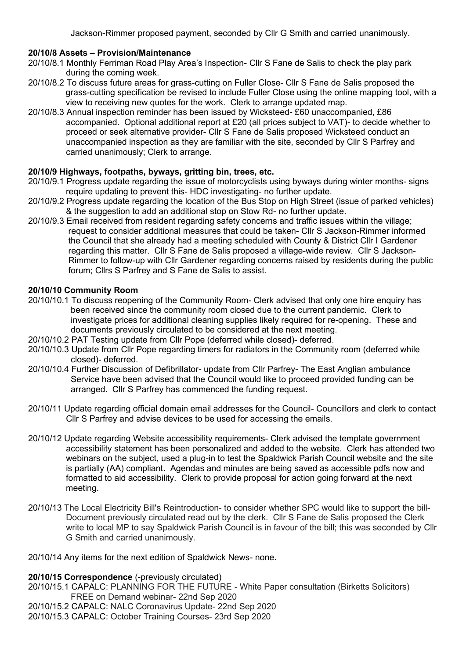Jackson-Rimmer proposed payment, seconded by Cllr G Smith and carried unanimously.

## **20/10/8 Assets – Provision/Maintenance**

- 20/10/8.1 Monthly Ferriman Road Play Area's Inspection- Cllr S Fane de Salis to check the play park during the coming week.
- 20/10/8.2 To discuss future areas for grass-cutting on Fuller Close- Cllr S Fane de Salis proposed the grass-cutting specification be revised to include Fuller Close using the online mapping tool, with a view to receiving new quotes for the work. Clerk to arrange updated map.
- 20/10/8.3 Annual inspection reminder has been issued by Wicksteed- £60 unaccompanied, £86 accompanied. Optional additional report at £20 (all prices subject to VAT)- to decide whether to proceed or seek alternative provider- Cllr S Fane de Salis proposed Wicksteed conduct an unaccompanied inspection as they are familiar with the site, seconded by Cllr S Parfrey and carried unanimously; Clerk to arrange.

## **20/10/9 Highways, footpaths, byways, gritting bin, trees, etc.**

- 20/10/9.1 Progress update regarding the issue of motorcyclists using byways during winter months- signs require updating to prevent this- HDC investigating- no further update.
- 20/10/9.2 Progress update regarding the location of the Bus Stop on High Street (issue of parked vehicles) & the suggestion to add an additional stop on Stow Rd- no further update.
- 20/10/9.3 Email received from resident regarding safety concerns and traffic issues within the village; request to consider additional measures that could be taken- Cllr S Jackson-Rimmer informed the Council that she already had a meeting scheduled with County & District Cllr I Gardener regarding this matter. Cllr S Fane de Salis proposed a village-wide review. Cllr S Jackson- Rimmer to follow-up with Cllr Gardener regarding concerns raised by residents during the public forum; Cllrs S Parfrey and S Fane de Salis to assist.

## **20/10/10 Community Room**

- 20/10/10.1 To discuss reopening of the Community Room- Clerk advised that only one hire enquiry has been received since the community room closed due to the current pandemic. Clerk to investigate prices for additional cleaning supplies likely required for re-opening. These and documents previously circulated to be considered at the next meeting.
- 20/10/10.2 PAT Testing update from Cllr Pope (deferred while closed)- deferred.
- 20/10/10.3 Update from Cllr Pope regarding timers for radiators in the Community room (deferred while closed)- deferred.
- 20/10/10.4 Further Discussion of Defibrillator- update from Cllr Parfrey- The East Anglian ambulance Service have been advised that the Council would like to proceed provided funding can be arranged. Cllr S Parfrey has commenced the funding request.
- 20/10/11 Update regarding official domain email addresses for the Council- Councillors and clerk to contact Cllr S Parfrey and advise devices to be used for accessing the emails.
- 20/10/12 Update regarding Website accessibility requirements- Clerk advised the template government accessibility statement has been personalized and added to the website. Clerk has attended two webinars on the subject, used a plug-in to test the Spaldwick Parish Council website and the site is partially (AA) compliant. Agendas and minutes are being saved as accessible pdfs now and formatted to aid accessibility. Clerk to provide proposal for action going forward at the next meeting.
- 20/10/13 The Local Electricity Bill's Reintroduction- to consider whether SPC would like to support the bill- Document previously circulated read out by the clerk. Cllr S Fane de Salis proposed the Clerk write to local MP to say Spaldwick Parish Council is in favour of the bill; this was seconded by Cllr G Smith and carried unanimously.
- 20/10/14 Any items for the next edition of Spaldwick News- none.

## **20/10/15 Correspondence** (-previously circulated)

- 20/10/15.1 CAPALC: PLANNING FOR THE FUTURE White Paper consultation (Birketts Solicitors) FREE on Demand webinar- 22nd Sep 2020
- 20/10/15.2 CAPALC: NALC Coronavirus Update- 22nd Sep 2020
- 20/10/15.3 CAPALC: October Training Courses- 23rd Sep 2020